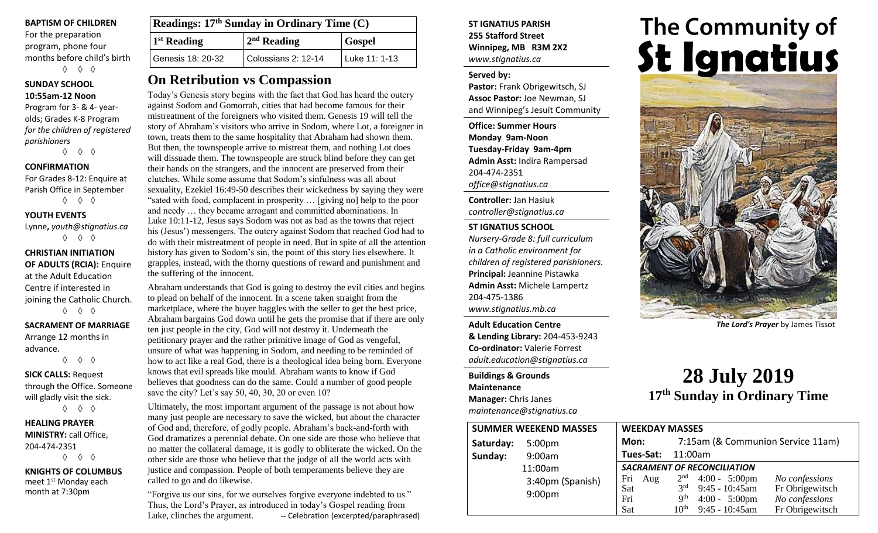## **BAPTISM OF CHILDREN**

For the preparation program, phone four months before child's birth ◊ ◊ ◊

## **SUNDAY SCHOOL 10:55am-12 Noon**

Program for 3- & 4- yearolds; Grades K-8 Program *for the children of registered parishioners*

◊ ◊ ◊

## **CONFIRMATION**

For Grades 8-12: Enquire at Parish Office in September ◊ ◊ ◊

**YOUTH EVENTS**

Lynne**,** *youth@stignatius.ca* ◊ ◊ ◊

**CHRISTIAN INITIATION OF ADULTS (RCIA):** Enquire at the Adult Education Centre if interested in joining the Catholic Church. ◊ ◊ ◊

**SACRAMENT OF MARRIAGE** Arrange 12 months in

advance. ◊ ◊ ◊

**SICK CALLS:** Request through the Office. Someone will gladly visit the sick.

◊ ◊ ◊

**HEALING PRAYER MINISTRY:** call Office, 204-474-2351 ◊ ◊ ◊

**KNIGHTS OF COLUMBUS** meet 1<sup>st</sup> Monday each month at 7:30pm

| <b>Readings: 17th Sunday in Ordinary Time (C)</b> |                     |               |  |  |
|---------------------------------------------------|---------------------|---------------|--|--|
| <sup>1</sup> 1 <sup>st</sup> Reading              | $2nd$ Reading       | <b>Gospel</b> |  |  |
| Genesis 18: 20-32                                 | Colossians 2: 12-14 | Luke 11: 1-13 |  |  |

# **On Retribution vs Compassion**

Today's Genesis story begins with the fact that God has heard the outcry against Sodom and Gomorrah, cities that had become famous for their mistreatment of the foreigners who visited them. Genesis 19 will tell the story of Abraham's visitors who arrive in Sodom, where Lot, a foreigner in town, treats them to the same hospitality that Abraham had shown them. But then, the townspeople arrive to mistreat them, and nothing Lot does will dissuade them. The townspeople are struck blind before they can get their hands on the strangers, and the innocent are preserved from their clutches. While some assume that Sodom's sinfulness was all about sexuality, Ezekiel 16:49-50 describes their wickedness by saying they were "sated with food, complacent in prosperity … [giving no] help to the poor and needy … they became arrogant and committed abominations. In Luke 10:11-12, Jesus says Sodom was not as bad as the towns that reject his (Jesus') messengers. The outcry against Sodom that reached God had to do with their mistreatment of people in need. But in spite of all the attention history has given to Sodom's sin, the point of this story lies elsewhere. It grapples, instead, with the thorny questions of reward and punishment and the suffering of the innocent.

Abraham understands that God is going to destroy the evil cities and begins to plead on behalf of the innocent. In a scene taken straight from the marketplace, where the buyer haggles with the seller to get the best price, Abraham bargains God down until he gets the promise that if there are only ten just people in the city, God will not destroy it. Underneath the petitionary prayer and the rather primitive image of God as vengeful, unsure of what was happening in Sodom, and needing to be reminded of how to act like a real God, there is a theological idea being born. Everyone knows that evil spreads like mould. Abraham wants to know if God believes that goodness can do the same. Could a number of good people save the city? Let's say 50, 40, 30, 20 or even 10?

Ultimately, the most important argument of the passage is not about how many just people are necessary to save the wicked, but about the character of God and, therefore, of godly people. Abraham's back-and-forth with God dramatizes a perennial debate. On one side are those who believe that no matter the collateral damage, it is godly to obliterate the wicked. On the other side are those who believe that the judge of all the world acts with justice and compassion. People of both temperaments believe they are called to go and do likewise.

"Forgive us our sins, for we ourselves forgive everyone indebted to us." Thus, the Lord's Prayer, as introduced in today's Gospel reading from Luke, clinches the argument. -- Celebration (excerpted/paraphrased) **ST IGNATIUS PARISH 255 Stafford Street Winnipeg, MB R3M 2X2** *www.stignatius.ca*

### **Served by:**

**Pastor:** Frank Obrigewitsch, SJ **Assoc Pastor:** Joe Newman, SJ and Winnipeg's Jesuit Community

**Office: Summer Hours Monday 9am-Noon Tuesday-Friday 9am-4pm Admin Asst:** Indira Rampersad 204-474-2351 *office@stignatius.ca*

**Controller:** Jan Hasiuk *controller@stignatius.ca*

## **ST IGNATIUS SCHOOL**

*Nursery-Grade 8: full curriculum in a Catholic environment for children of registered parishioners.* **Principal:** Jeannine Pistawka **Admin Asst:** Michele Lampertz 204-475-1386 *www.stignatius.mb.ca*

**Adult Education Centre & Lending Library:** 204-453-9243 **Co-ordinator:** Valerie Forrest *adult.education@stignatius.ca*

**Buildings & Grounds Maintenance Manager:** Chris Janes *maintenance@stignatius.ca*

# The Community of<br>**St Ignatius**



*The Lord's Prayer* by James Tissot

# **28 July 2019 17 th Sunday in Ordinary Time**

| <b>SUMMER WEEKEND MASSES</b> |                    | <b>WEEKDAY MASSES</b>              |                 |                         |                                   |
|------------------------------|--------------------|------------------------------------|-----------------|-------------------------|-----------------------------------|
| Saturday:                    | 5:00 <sub>pm</sub> | Mon:                               |                 |                         | 7:15am (& Communion Service 11am) |
| Sunday:                      | 9:00am             | Tues-Sat:                          | 11:00am         |                         |                                   |
|                              | 11:00am            | <b>SACRAMENT OF RECONCILIATION</b> |                 |                         |                                   |
| 9:00 <sub>pm</sub>           | 3:40pm (Spanish)   | Fri<br>Aug                         | 2 <sup>nd</sup> | $4:00 - 5:00 \text{pm}$ | No confessions                    |
|                              |                    | Sat                                | 2rd             | $9:45 - 10:45$ am       | Fr Obrigewitsch                   |
|                              |                    | Fri                                | 9 <sup>th</sup> | $4:00 - 5:00 \text{pm}$ | No confessions                    |
|                              |                    | Sat                                | $10^{\rm th}$   | $9:45 - 10:45$ am       | Fr Obrigewitsch                   |